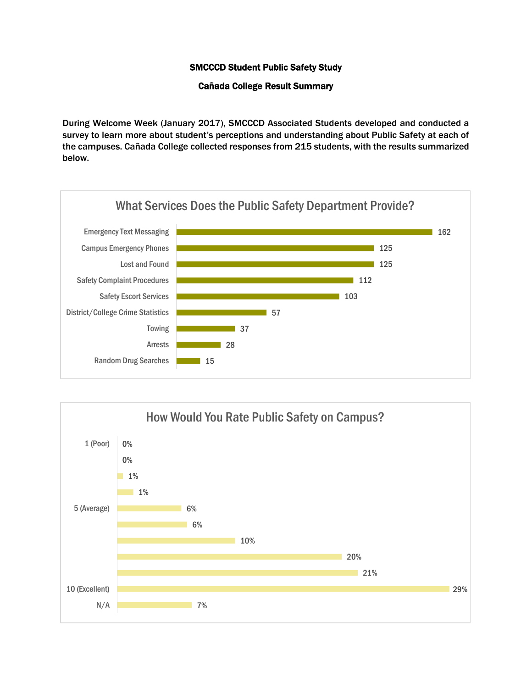## SMCCCD Student Public Safety Study

## Cañada College Result Summary

During Welcome Week (January 2017), SMCCCD Associated Students developed and conducted a survey to learn more about student's perceptions and understanding about Public Safety at each of the campuses. Cañada College collected responses from 215 students, with the results summarized below.



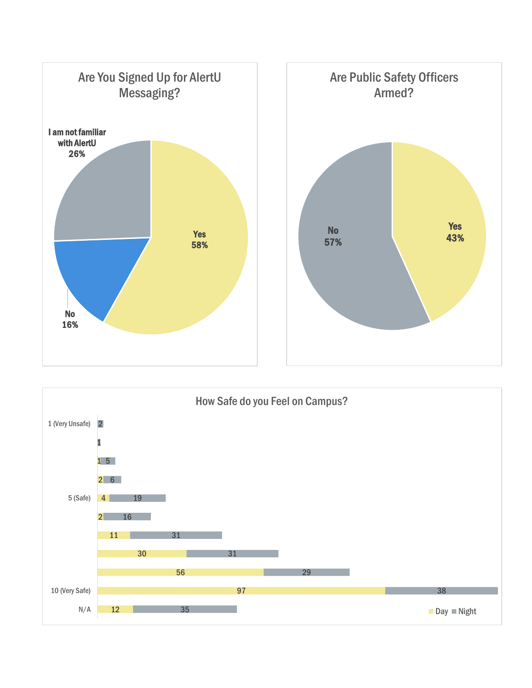